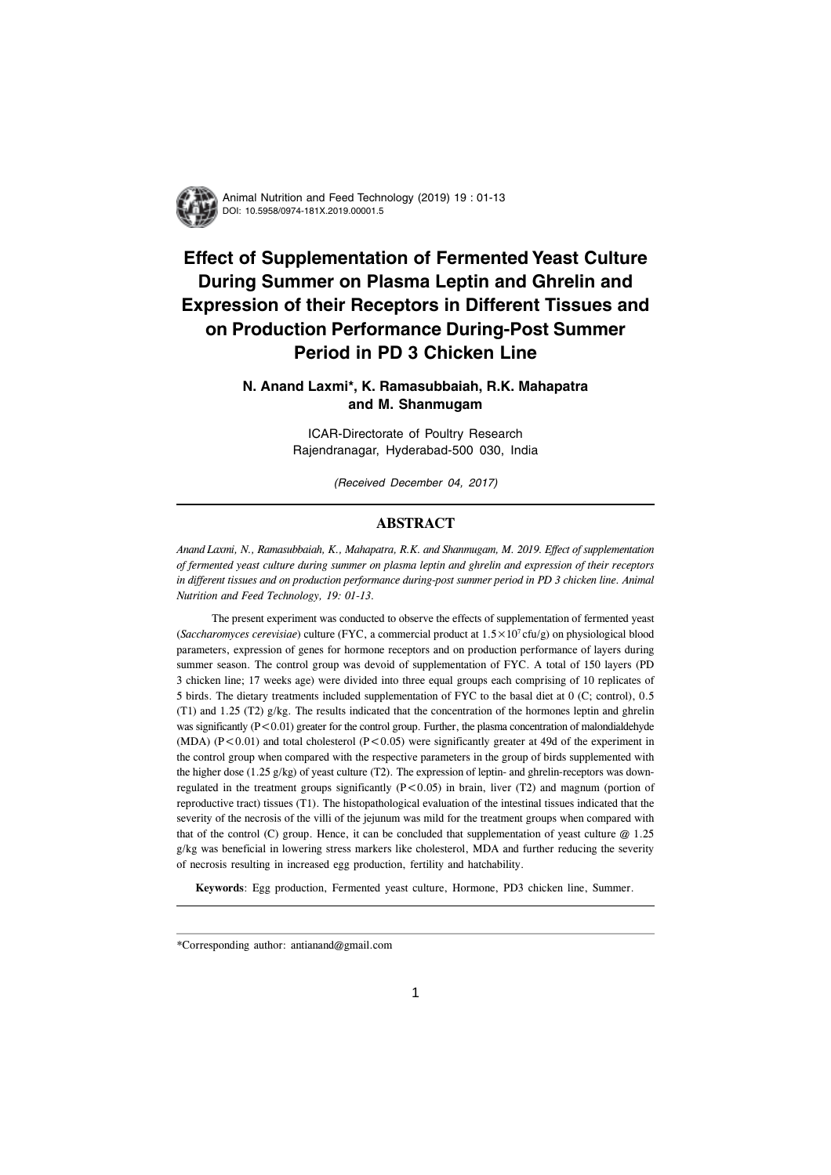

Animal Nutrition and Feed Technology (2019) 19 : 01-13 DOI: 10.5958/0974-181X.2019.00001.5

# **Effect of Supplementation of Fermented Yeast Culture During Summer on Plasma Leptin and Ghrelin and Expression of their Receptors in Different Tissues and on Production Performance During-Post Summer Period in PD 3 Chicken Line**

# **N. Anand Laxmi\*, K. Ramasubbaiah, R.K. Mahapatra and M. Shanmugam**

ICAR-Directorate of Poultry Research Rajendranagar, Hyderabad-500 030, India

(Received December 04, 2017)

## **ABSTRACT**

*Anand Laxmi, N., Ramasubbaiah, K., Mahapatra, R.K. and Shanmugam, M. 2019. Effect of supplementation of fermented yeast culture during summer on plasma leptin and ghrelin and expression of their receptors in different tissues and on production performance during-post summer period in PD 3 chicken line. Animal Nutrition and Feed Technology, 19: 01-13.*

The present experiment was conducted to observe the effects of supplementation of fermented yeast (*Saccharomyces cerevisiae*) culture (FYC, a commercial product at 1.5×107 cfu/g) on physiological blood parameters, expression of genes for hormone receptors and on production performance of layers during summer season. The control group was devoid of supplementation of FYC. A total of 150 layers (PD 3 chicken line; 17 weeks age) were divided into three equal groups each comprising of 10 replicates of 5 birds. The dietary treatments included supplementation of FYC to the basal diet at 0 (C; control), 0.5 (T1) and 1.25 (T2) g/kg. The results indicated that the concentration of the hormones leptin and ghrelin was significantly  $(P<0.01)$  greater for the control group. Further, the plasma concentration of malondialdehyde (MDA) (P<0.01) and total cholesterol (P<0.05) were significantly greater at 49d of the experiment in the control group when compared with the respective parameters in the group of birds supplemented with the higher dose (1.25 g/kg) of yeast culture (T2). The expression of leptin- and ghrelin-receptors was downregulated in the treatment groups significantly  $(P<0.05)$  in brain, liver (T2) and magnum (portion of reproductive tract) tissues (T1). The histopathological evaluation of the intestinal tissues indicated that the severity of the necrosis of the villi of the jejunum was mild for the treatment groups when compared with that of the control (C) group. Hence, it can be concluded that supplementation of yeast culture @ 1.25 g/kg was beneficial in lowering stress markers like cholesterol, MDA and further reducing the severity of necrosis resulting in increased egg production, fertility and hatchability.

**Keywords**: Egg production, Fermented yeast culture, Hormone, PD3 chicken line, Summer.

<sup>\*</sup>Corresponding author: antianand@gmail.com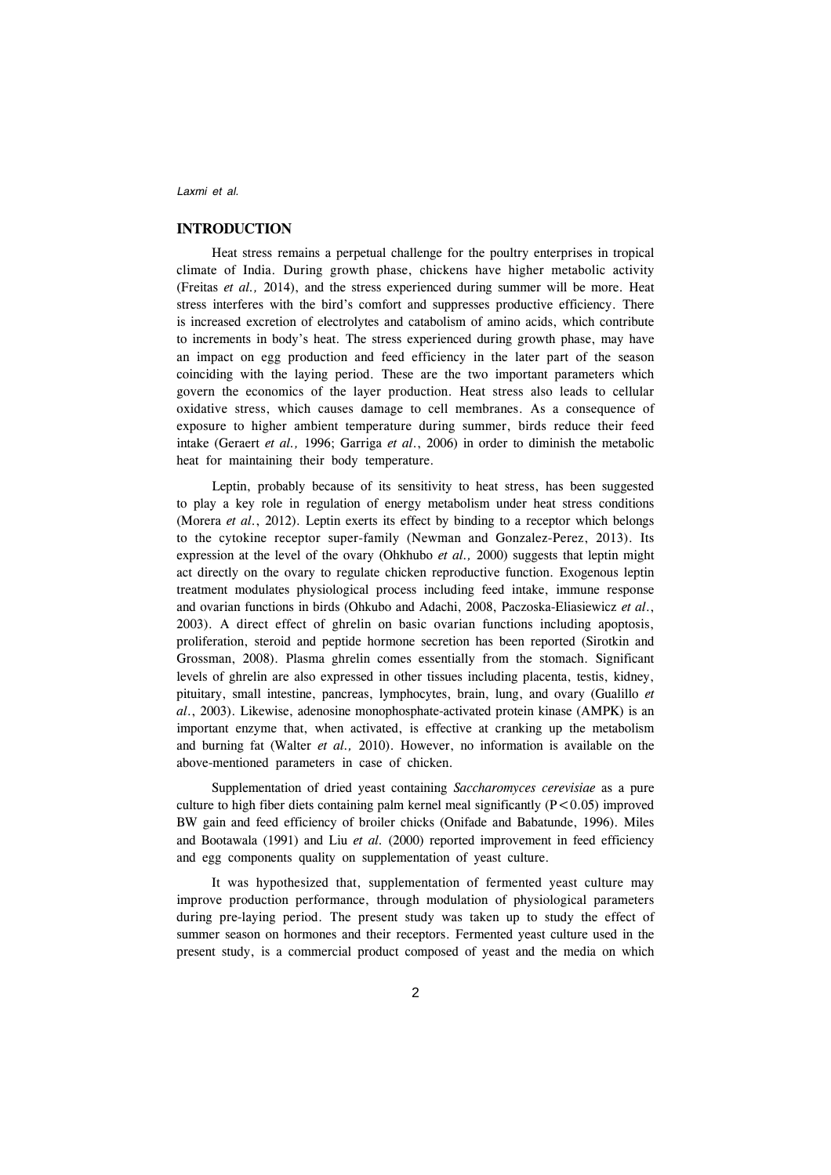## **INTRODUCTION**

Heat stress remains a perpetual challenge for the poultry enterprises in tropical climate of India. During growth phase, chickens have higher metabolic activity (Freitas *et al.,* 2014), and the stress experienced during summer will be more. Heat stress interferes with the bird's comfort and suppresses productive efficiency. There is increased excretion of electrolytes and catabolism of amino acids, which contribute to increments in body's heat. The stress experienced during growth phase, may have an impact on egg production and feed efficiency in the later part of the season coinciding with the laying period. These are the two important parameters which govern the economics of the layer production. Heat stress also leads to cellular oxidative stress, which causes damage to cell membranes. As a consequence of exposure to higher ambient temperature during summer, birds reduce their feed intake (Geraert *et al.,* 1996; Garriga *et al*., 2006) in order to diminish the metabolic heat for maintaining their body temperature.

Leptin, probably because of its sensitivity to heat stress, has been suggested to play a key role in regulation of energy metabolism under heat stress conditions (Morera *et al*., 2012). Leptin exerts its effect by binding to a receptor which belongs to the cytokine receptor super-family (Newman and Gonzalez-Perez, 2013). Its expression at the level of the ovary (Ohkhubo *et al.,* 2000) suggests that leptin might act directly on the ovary to regulate chicken reproductive function. Exogenous leptin treatment modulates physiological process including feed intake, immune response and ovarian functions in birds (Ohkubo and Adachi, 2008, Paczoska-Eliasiewicz *et al*., 2003). A direct effect of ghrelin on basic ovarian functions including apoptosis, proliferation, steroid and peptide hormone secretion has been reported (Sirotkin and Grossman, 2008). Plasma ghrelin comes essentially from the stomach. Significant levels of ghrelin are also expressed in other tissues including placenta, testis, kidney, pituitary, small intestine, pancreas, lymphocytes, brain, lung, and ovary (Gualillo *et al*., 2003). Likewise, adenosine monophosphate-activated protein kinase (AMPK) is an important enzyme that, when activated, is effective at cranking up the metabolism and burning fat (Walter *et al.,* 2010). However, no information is available on the above-mentioned parameters in case of chicken.

Supplementation of dried yeast containing *Saccharomyces cerevisiae* as a pure culture to high fiber diets containing palm kernel meal significantly  $(P<0.05)$  improved BW gain and feed efficiency of broiler chicks (Onifade and Babatunde, 1996). Miles and Bootawala (1991) and Liu *et al.* (2000) reported improvement in feed efficiency and egg components quality on supplementation of yeast culture.

It was hypothesized that, supplementation of fermented yeast culture may improve production performance, through modulation of physiological parameters during pre-laying period. The present study was taken up to study the effect of summer season on hormones and their receptors. Fermented yeast culture used in the present study, is a commercial product composed of yeast and the media on which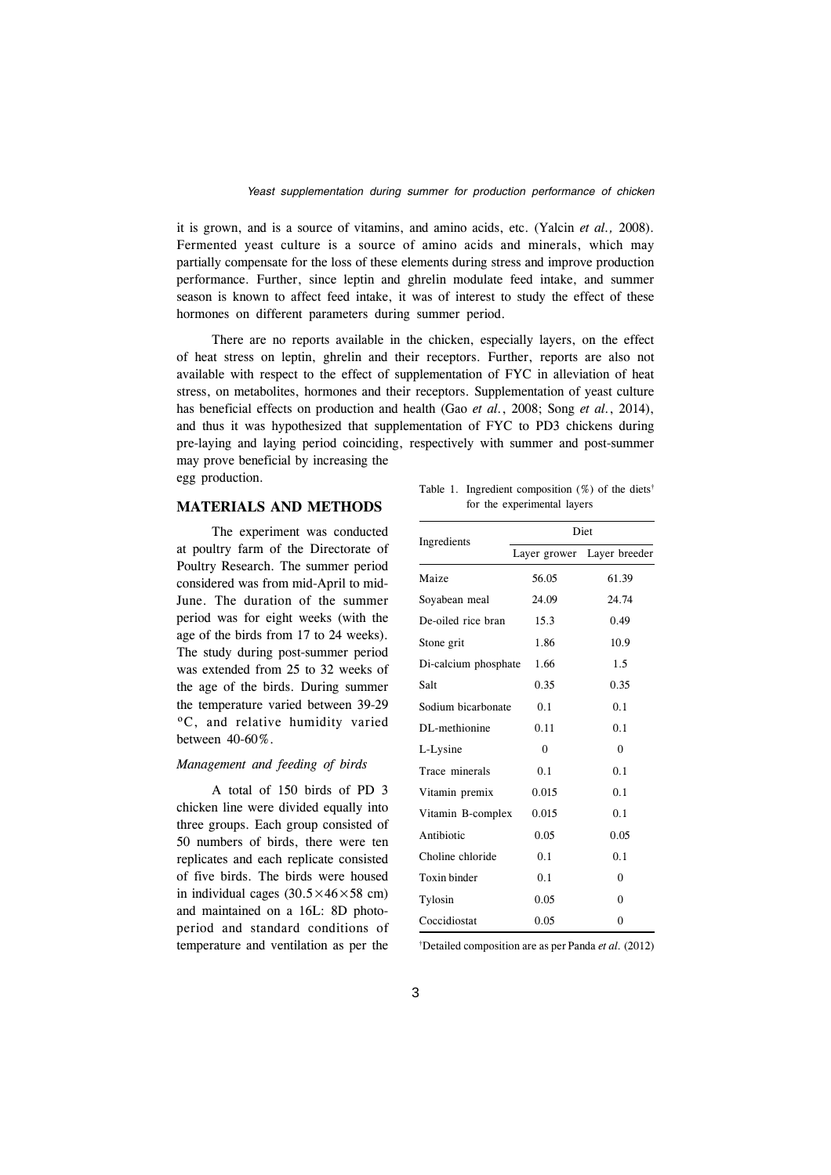it is grown, and is a source of vitamins, and amino acids, etc. (Yalcin *et al.,* 2008). Fermented yeast culture is a source of amino acids and minerals, which may partially compensate for the loss of these elements during stress and improve production performance. Further, since leptin and ghrelin modulate feed intake, and summer season is known to affect feed intake, it was of interest to study the effect of these hormones on different parameters during summer period.

There are no reports available in the chicken, especially layers, on the effect of heat stress on leptin, ghrelin and their receptors. Further, reports are also not available with respect to the effect of supplementation of FYC in alleviation of heat stress, on metabolites, hormones and their receptors. Supplementation of yeast culture has beneficial effects on production and health (Gao *et al.*, 2008; Song *et al.*, 2014), and thus it was hypothesized that supplementation of FYC to PD3 chickens during pre-laying and laying period coinciding, respectively with summer and post-summer may prove beneficial by increasing the

egg production.

## **MATERIALS AND METHODS**

The experiment was conducted at poultry farm of the Directorate of Poultry Research. The summer period considered was from mid-April to mid-June. The duration of the summer period was for eight weeks (with the age of the birds from 17 to 24 weeks). The study during post-summer period was extended from 25 to 32 weeks of the age of the birds. During summer the temperature varied between 39-29 ºC, and relative humidity varied between 40-60%.

## *Management and feeding of birds*

A total of 150 birds of PD 3 chicken line were divided equally into three groups. Each group consisted of 50 numbers of birds, there were ten replicates and each replicate consisted of five birds. The birds were housed in individual cages  $(30.5 \times 46 \times 58$  cm) and maintained on a 16L: 8D photoperiod and standard conditions of temperature and ventilation as per the

Table 1. Ingredient composition  $(\%)$  of the diets<sup>†</sup> for the experimental layers

| Ingredients          | Diet         |                |  |  |
|----------------------|--------------|----------------|--|--|
|                      | Layer grower | Layer breeder  |  |  |
| Maize                | 56.05        | 61.39          |  |  |
| Soyabean meal        | 24.09        | 24.74          |  |  |
| De-oiled rice bran   | 15.3         | 0.49           |  |  |
| Stone grit           | 1.86         | 10.9           |  |  |
| Di-calcium phosphate | 1.66         | 1.5            |  |  |
| Salt                 | 0.35         | 0.35           |  |  |
| Sodium bicarbonate   | 0.1          | 0.1            |  |  |
| DL-methionine        | 0.11         | 0.1            |  |  |
| L-Lysine             | $\theta$     | $\theta$       |  |  |
| Trace minerals       | 0.1          | 0.1            |  |  |
| Vitamin premix       | 0.015        | 0.1            |  |  |
| Vitamin B-complex    | 0.015        | 0.1            |  |  |
| Antibiotic           | 0.05         | 0.05           |  |  |
| Choline chloride     | 0.1          | 0.1            |  |  |
| Toxin binder         | 0.1          | $\theta$       |  |  |
| Tylosin              | 0.05         | $\Omega$       |  |  |
| Coccidiostat         | 0.05         | $\overline{0}$ |  |  |

† Detailed composition are as per Panda *et al.* (2012)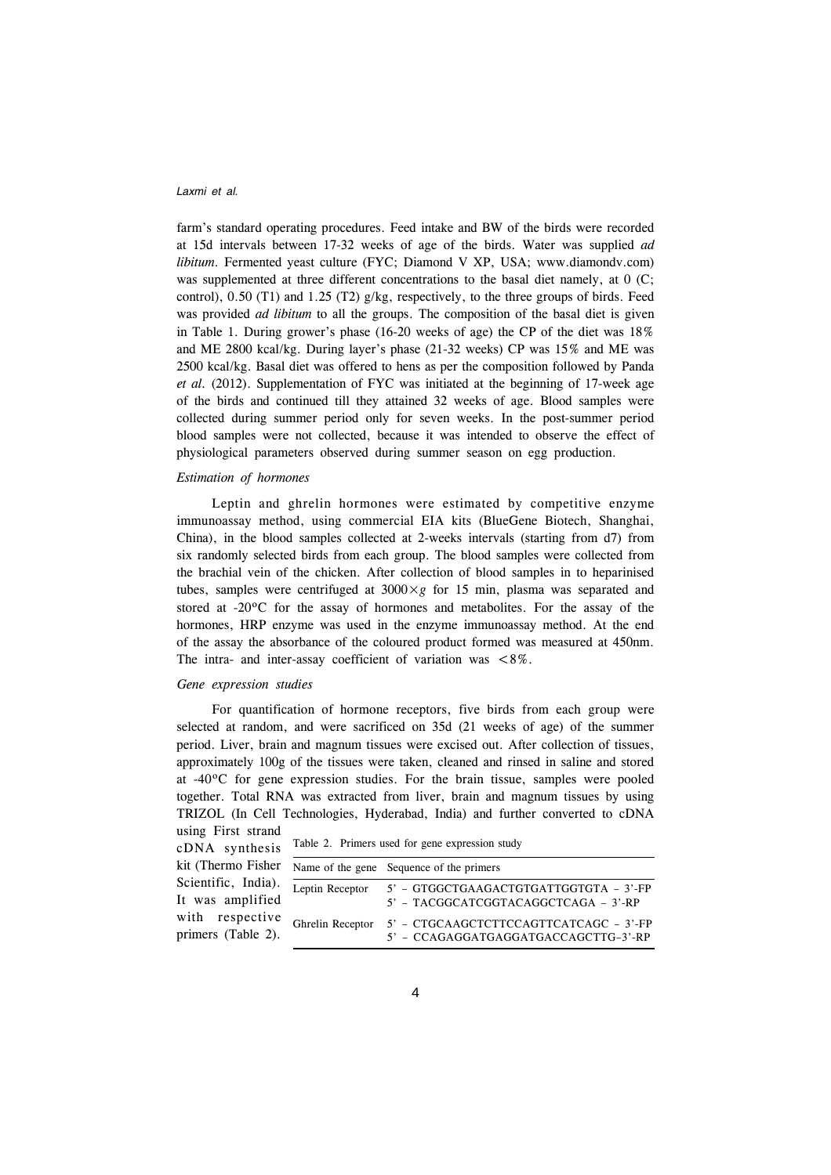farm's standard operating procedures. Feed intake and BW of the birds were recorded at 15d intervals between 17-32 weeks of age of the birds. Water was supplied *ad libitum*. Fermented yeast culture (FYC; Diamond V XP, USA; www.diamondv.com) was supplemented at three different concentrations to the basal diet namely, at 0 (C; control),  $0.50$  (T1) and  $1.25$  (T2) g/kg, respectively, to the three groups of birds. Feed was provided *ad libitum* to all the groups. The composition of the basal diet is given in Table 1. During grower's phase (16-20 weeks of age) the CP of the diet was 18% and ME 2800 kcal/kg. During layer's phase (21-32 weeks) CP was 15% and ME was 2500 kcal/kg. Basal diet was offered to hens as per the composition followed by Panda *et al.* (2012). Supplementation of FYC was initiated at the beginning of 17-week age of the birds and continued till they attained 32 weeks of age. Blood samples were collected during summer period only for seven weeks. In the post-summer period blood samples were not collected, because it was intended to observe the effect of physiological parameters observed during summer season on egg production.

### *Estimation of hormones*

Leptin and ghrelin hormones were estimated by competitive enzyme immunoassay method, using commercial EIA kits (BlueGene Biotech, Shanghai, China), in the blood samples collected at 2-weeks intervals (starting from d7) from six randomly selected birds from each group. The blood samples were collected from the brachial vein of the chicken. After collection of blood samples in to heparinised tubes, samples were centrifuged at  $3000 \times g$  for 15 min, plasma was separated and stored at -20ºC for the assay of hormones and metabolites. For the assay of the hormones, HRP enzyme was used in the enzyme immunoassay method. At the end of the assay the absorbance of the coloured product formed was measured at 450nm. The intra- and inter-assay coefficient of variation was <8%.

#### *Gene expression studies*

For quantification of hormone receptors, five birds from each group were selected at random, and were sacrificed on 35d (21 weeks of age) of the summer period. Liver, brain and magnum tissues were excised out. After collection of tissues, approximately 100g of the tissues were taken, cleaned and rinsed in saline and stored at -40ºC for gene expression studies. For the brain tissue, samples were pooled together. Total RNA was extracted from liver, brain and magnum tissues by using TRIZOL (In Cell Technologies, Hyderabad, India) and further converted to cDNA using First strand

cDNA synthesis kit (Thermo Fisher Scientific, India). It was amplified with respective primers (Table 2).

|  |  |  |  |  |  | Table 2. Primers used for gene expression study |  |
|--|--|--|--|--|--|-------------------------------------------------|--|
|--|--|--|--|--|--|-------------------------------------------------|--|

|                  | Name of the gene Sequence of the primers                                       |
|------------------|--------------------------------------------------------------------------------|
| Leptin Receptor  | 5' - GTGGCTGAAGACTGTGATTGGTGTA - 3'-FP<br>5' - TACGGCATCGGTACAGGCTCAGA - 3'-RP |
| Ghrelin Receptor | 5' - CTGCAAGCTCTTCCAGTTCATCAGC - 3'-FP<br>5' - CCAGAGGATGAGGATGACCAGCTTG-3'-RP |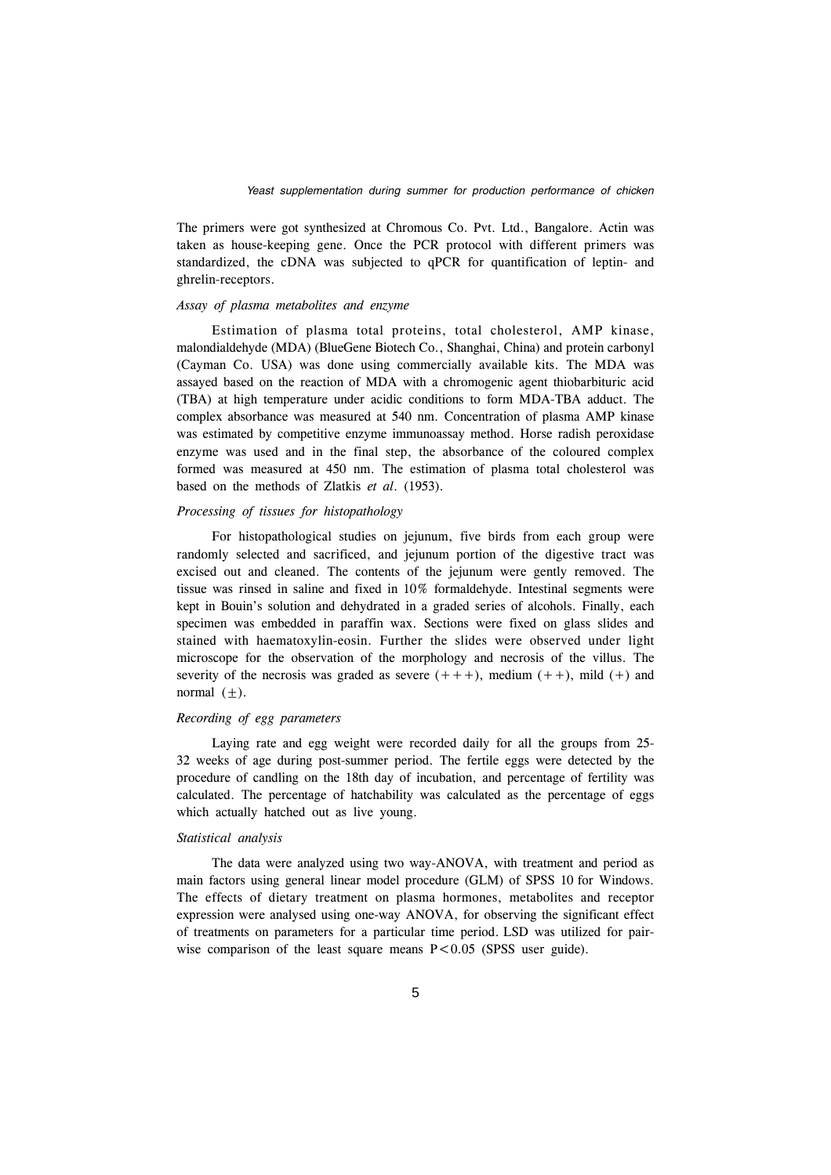The primers were got synthesized at Chromous Co. Pvt. Ltd., Bangalore. Actin was taken as house-keeping gene. Once the PCR protocol with different primers was standardized, the cDNA was subjected to qPCR for quantification of leptin- and ghrelin-receptors.

#### *Assay of plasma metabolites and enzyme*

Estimation of plasma total proteins, total cholesterol, AMP kinase, malondialdehyde (MDA) (BlueGene Biotech Co., Shanghai, China) and protein carbonyl (Cayman Co. USA) was done using commercially available kits. The MDA was assayed based on the reaction of MDA with a chromogenic agent thiobarbituric acid (TBA) at high temperature under acidic conditions to form MDA-TBA adduct. The complex absorbance was measured at 540 nm. Concentration of plasma AMP kinase was estimated by competitive enzyme immunoassay method. Horse radish peroxidase enzyme was used and in the final step, the absorbance of the coloured complex formed was measured at 450 nm. The estimation of plasma total cholesterol was based on the methods of Zlatkis *et al*. (1953).

## *Processing of tissues for histopathology*

For histopathological studies on jejunum, five birds from each group were randomly selected and sacrificed, and jejunum portion of the digestive tract was excised out and cleaned. The contents of the jejunum were gently removed. The tissue was rinsed in saline and fixed in 10% formaldehyde. Intestinal segments were kept in Bouin's solution and dehydrated in a graded series of alcohols. Finally, each specimen was embedded in paraffin wax. Sections were fixed on glass slides and stained with haematoxylin-eosin. Further the slides were observed under light microscope for the observation of the morphology and necrosis of the villus. The severity of the necrosis was graded as severe  $(++)$ , medium  $(++)$ , mild  $(+)$  and normal  $(\pm)$ .

## *Recording of egg parameters*

Laying rate and egg weight were recorded daily for all the groups from 25- 32 weeks of age during post-summer period. The fertile eggs were detected by the procedure of candling on the 18th day of incubation, and percentage of fertility was calculated. The percentage of hatchability was calculated as the percentage of eggs which actually hatched out as live young.

## *Statistical analysis*

The data were analyzed using two way-ANOVA, with treatment and period as main factors using general linear model procedure (GLM) of SPSS 10 for Windows. The effects of dietary treatment on plasma hormones, metabolites and receptor expression were analysed using one-way ANOVA, for observing the significant effect of treatments on parameters for a particular time period. LSD was utilized for pairwise comparison of the least square means  $P < 0.05$  (SPSS user guide).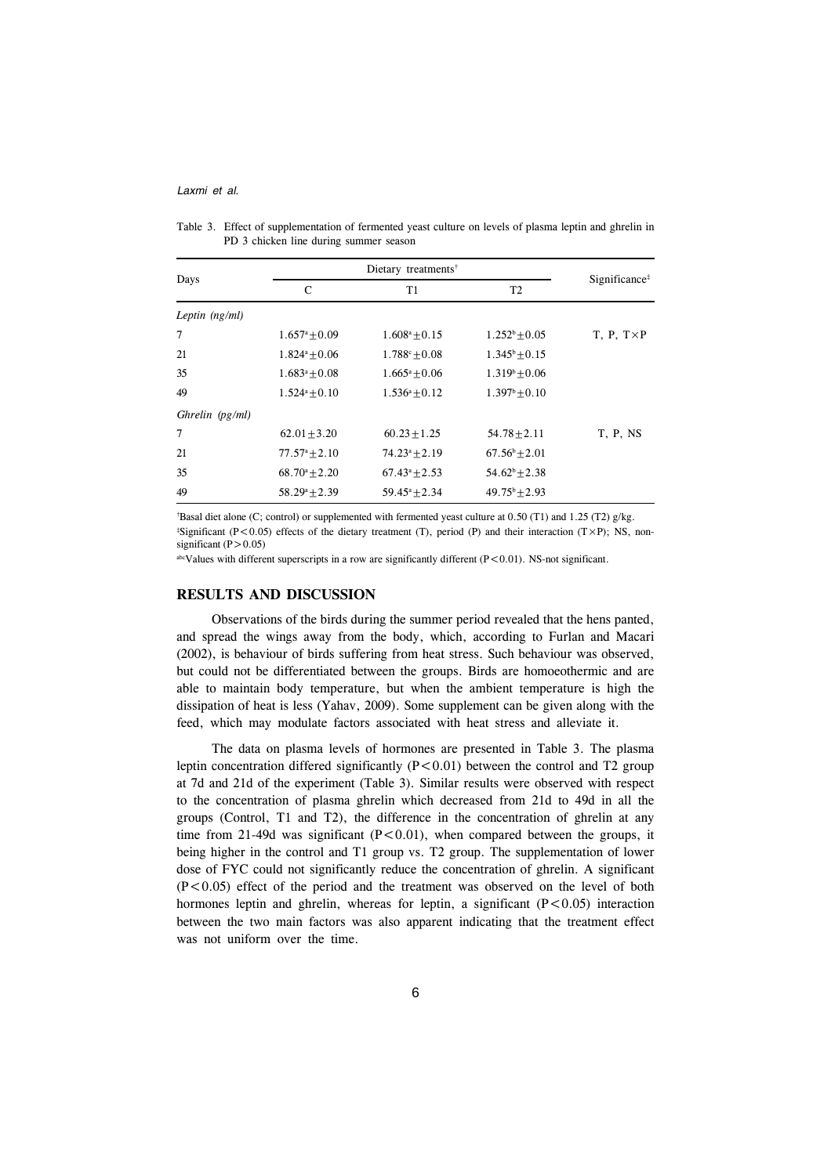| Days              | C                         | T1                   | T <sub>2</sub>         | Significance <sup>‡</sup> |
|-------------------|---------------------------|----------------------|------------------------|---------------------------|
| Leptin $(ng/ml)$  |                           |                      |                        |                           |
| 7                 | $1.657^{\mathrm{a}}+0.09$ | $1.608^a + 0.15$     | $1.252^b + 0.05$       | $T, P, T \times P$        |
| 21                | $1.824^a + 0.06$          | $1.788^{\circ}+0.08$ | $1.345^{\rm b}+0.15$   |                           |
| 35                | $1.683^a + 0.08$          | $1.665^a + 0.06$     | $1.319^{\circ}+0.06$   |                           |
| 49                | $1.524^a + 0.10$          | $1.536^a + 0.12$     | $1.397^{\rm b}+0.10$   |                           |
| Ghrelin $(pg/ml)$ |                           |                      |                        |                           |
| 7                 | $62.01 + 3.20$            | $60.23 + 1.25$       | $54.78 \pm 2.11$       | T, P, NS                  |
| 21                | $77.57^{\circ}+2.10$      | $74.23^a + 2.19$     | $67.56^{\rm b} + 2.01$ |                           |
| 35                | $68.70^{\circ}+2.20$      | $67.43^a + 2.53$     | $54.62^b + 2.38$       |                           |
| 49                | $58.29^a + 2.39$          | $59.45^a + 2.34$     | $49.75^{\rm b} + 2.93$ |                           |

| Table 3. Effect of supplementation of fermented yeast culture on levels of plasma leptin and ghrelin in |
|---------------------------------------------------------------------------------------------------------|
| PD 3 chicken line during summer season                                                                  |

† Basal diet alone (C; control) or supplemented with fermented yeast culture at 0.50 (T1) and 1.25 (T2) g/kg.  $*$ Significant (P<0.05) effects of the dietary treatment (T), period (P) and their interaction (T×P); NS, nonsignificant  $(P>0.05)$ 

abcValues with different superscripts in a row are significantly different  $(P<0.01)$ . NS-not significant.

#### **RESULTS AND DISCUSSION**

Observations of the birds during the summer period revealed that the hens panted, and spread the wings away from the body, which, according to Furlan and Macari (2002), is behaviour of birds suffering from heat stress. Such behaviour was observed, but could not be differentiated between the groups. Birds are homoeothermic and are able to maintain body temperature, but when the ambient temperature is high the dissipation of heat is less (Yahav, 2009). Some supplement can be given along with the feed, which may modulate factors associated with heat stress and alleviate it.

The data on plasma levels of hormones are presented in Table 3. The plasma leptin concentration differed significantly  $(P<0.01)$  between the control and T2 group at 7d and 21d of the experiment (Table 3). Similar results were observed with respect to the concentration of plasma ghrelin which decreased from 21d to 49d in all the groups (Control, T1 and T2), the difference in the concentration of ghrelin at any time from 21-49d was significant  $(P<0.01)$ , when compared between the groups, it being higher in the control and T1 group vs. T2 group. The supplementation of lower dose of FYC could not significantly reduce the concentration of ghrelin. A significant  $(P<0.05)$  effect of the period and the treatment was observed on the level of both hormones leptin and ghrelin, whereas for leptin, a significant  $(P<0.05)$  interaction between the two main factors was also apparent indicating that the treatment effect was not uniform over the time.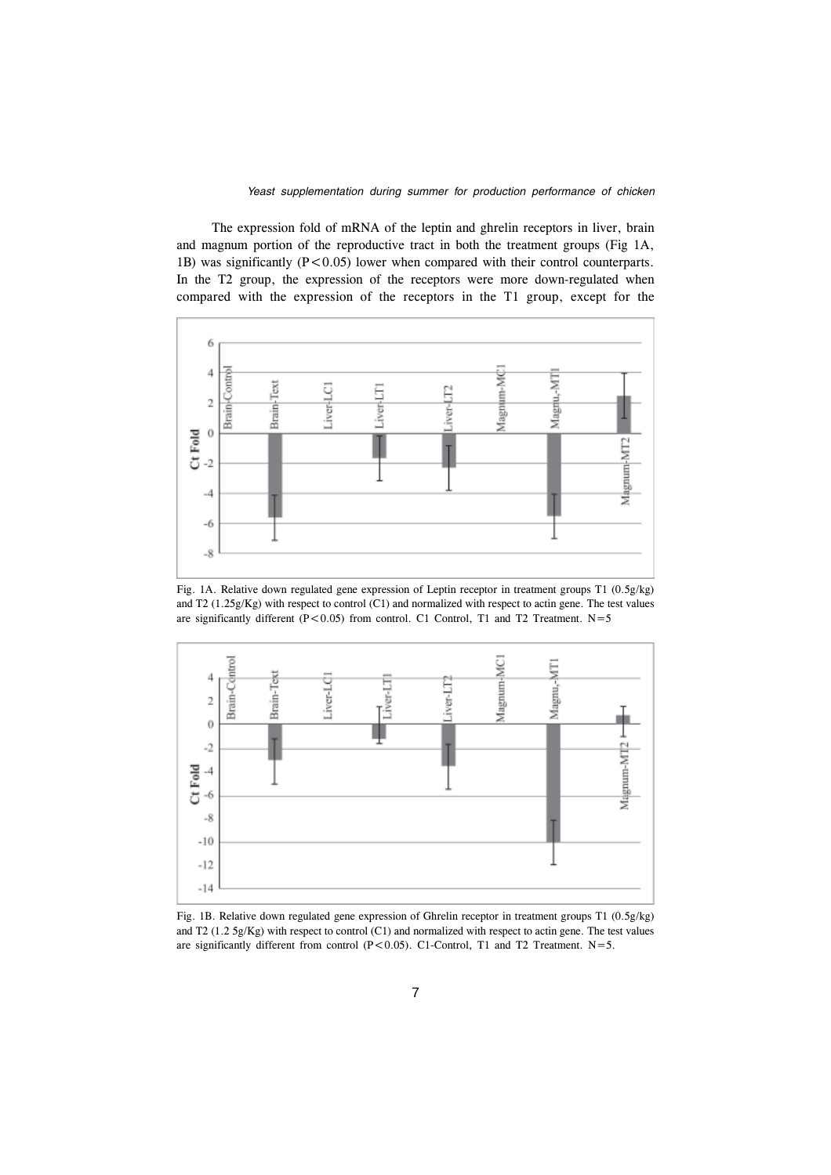The expression fold of mRNA of the leptin and ghrelin receptors in liver, brain and magnum portion of the reproductive tract in both the treatment groups (Fig 1A, 1B) was significantly  $(P<0.05)$  lower when compared with their control counterparts. In the T2 group, the expression of the receptors were more down-regulated when compared with the expression of the receptors in the T1 group, except for the



Fig. 1A. Relative down regulated gene expression of Leptin receptor in treatment groups T1 (0.5g/kg) and T2 (1.25g/Kg) with respect to control (C1) and normalized with respect to actin gene. The test values are significantly different (P<0.05) from control. C1 Control, T1 and T2 Treatment.  $N=5$ 



Fig. 1B. Relative down regulated gene expression of Ghrelin receptor in treatment groups T1 (0.5g/kg) and T2 (1.2 5g/Kg) with respect to control (C1) and normalized with respect to actin gene. The test values are significantly different from control  $(P<0.05)$ . C1-Control, T1 and T2 Treatment. N=5.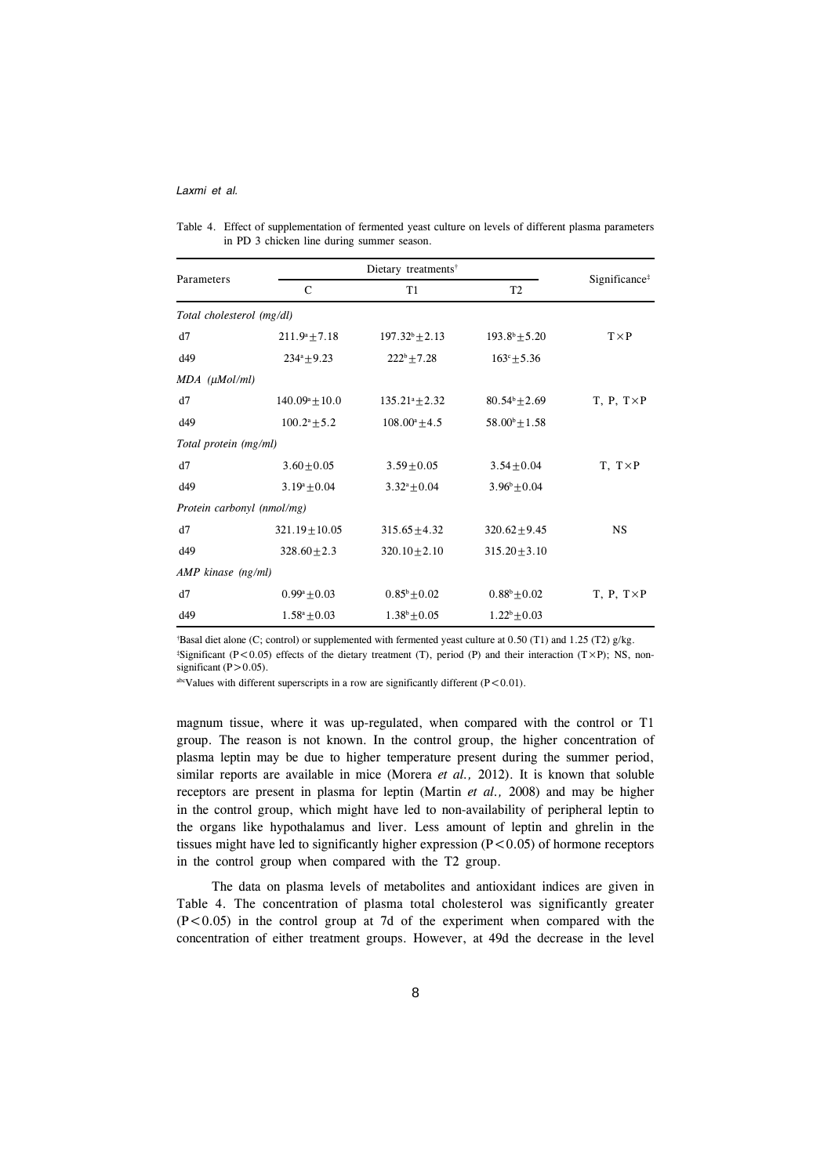| Parameters                 | $\mathsf{C}$              | T1                        | T <sub>2</sub>           | Significance <sup>#</sup> |
|----------------------------|---------------------------|---------------------------|--------------------------|---------------------------|
| Total cholesterol (mg/dl)  |                           |                           |                          |                           |
| d7                         | $211.9^a + 7.18$          | $197.32^b + 2.13$         | $193.8^b + 5.20$         | $T \times P$              |
| d49                        | $234^a + 9.23$            | $222^b + 7.28$            | $163^{\circ} + 5.36$     |                           |
| MDA (µMol/ml)              |                           |                           |                          |                           |
| d7                         | $140.09^{\circ} \pm 10.0$ | $135.21^{\circ} \pm 2.32$ | $80.54^b \pm 2.69$       | $T, P, T \times P$        |
| d49                        | $100.2^a + 5.2$           | $108.00^a + 4.5$          | $58.00^{\circ} \pm 1.58$ |                           |
| Total protein (mg/ml)      |                           |                           |                          |                           |
| d7                         | $3.60 \pm 0.05$           | $3.59 \pm 0.05$           | $3.54 \pm 0.04$          | $T, T \times P$           |
| d49                        | $3.19^a + 0.04$           | $3.32^{\circ}+0.04$       | $3.96^{\circ}+0.04$      |                           |
| Protein carbonyl (nmol/mg) |                           |                           |                          |                           |
| d7                         | $321.19 \pm 10.05$        | $315.65 \pm 4.32$         | $320.62 \pm 9.45$        | <b>NS</b>                 |
| d49                        | $328.60 + 2.3$            | $320.10 + 2.10$           | $315.20 + 3.10$          |                           |
| AMP kinase (ng/ml)         |                           |                           |                          |                           |
| d7                         | $0.99^{\circ}$ ± 0.03     | $0.85^{\rm b}$ ± 0.02     | $0.88^{\rm b} + 0.02$    | $T, P, T \times P$        |
| d49                        | $1.58^a \pm 0.03$         | $1.38^b \pm 0.05$         | $1.22^b \pm 0.03$        |                           |

Table 4. Effect of supplementation of fermented yeast culture on levels of different plasma parameters in PD 3 chicken line during summer season.

† Basal diet alone (C; control) or supplemented with fermented yeast culture at 0.50 (T1) and 1.25 (T2) g/kg.

 $*$ Significant (P<0.05) effects of the dietary treatment (T), period (P) and their interaction (T×P); NS, nonsignificant  $(P>0.05)$ .

<sup>abc</sup>Values with different superscripts in a row are significantly different ( $P < 0.01$ ).

magnum tissue, where it was up-regulated, when compared with the control or T1 group. The reason is not known. In the control group, the higher concentration of plasma leptin may be due to higher temperature present during the summer period, similar reports are available in mice (Morera *et al.,* 2012). It is known that soluble receptors are present in plasma for leptin (Martin *et al.,* 2008) and may be higher in the control group, which might have led to non-availability of peripheral leptin to the organs like hypothalamus and liver. Less amount of leptin and ghrelin in the tissues might have led to significantly higher expression  $(P<0.05)$  of hormone receptors in the control group when compared with the T2 group.

The data on plasma levels of metabolites and antioxidant indices are given in Table 4. The concentration of plasma total cholesterol was significantly greater  $(P<0.05)$  in the control group at 7d of the experiment when compared with the concentration of either treatment groups. However, at 49d the decrease in the level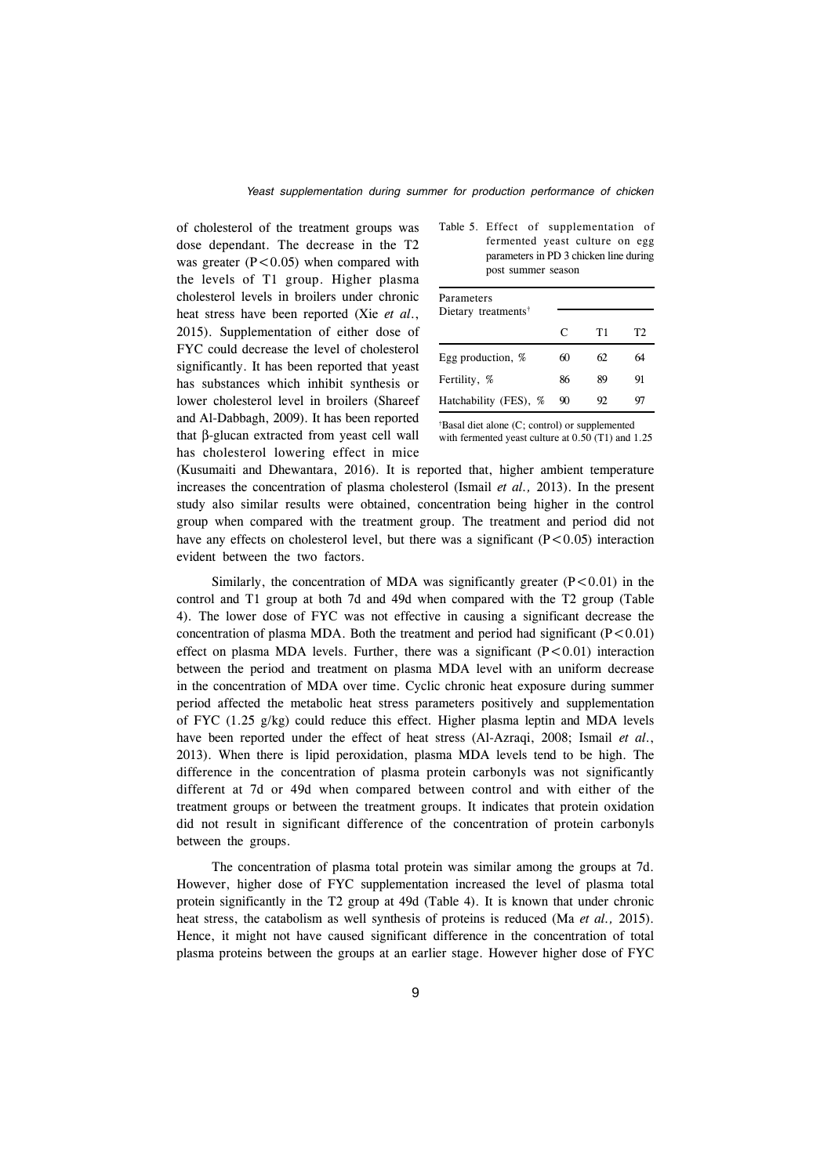of cholesterol of the treatment groups was dose dependant. The decrease in the T2 was greater  $(P<0.05)$  when compared with the levels of T1 group. Higher plasma cholesterol levels in broilers under chronic heat stress have been reported (Xie *et al*., 2015). Supplementation of either dose of FYC could decrease the level of cholesterol significantly. It has been reported that yeast has substances which inhibit synthesis or lower cholesterol level in broilers (Shareef and Al-Dabbagh, 2009). It has been reported that β-glucan extracted from yeast cell wall has cholesterol lowering effect in mice

| Table 5. Effect of supplementation of  |
|----------------------------------------|
| fermented yeast culture on egg         |
| parameters in PD 3 chicken line during |
| post summer season                     |

| Parameters<br>Dietary treatments <sup>†</sup> |    |    |    |
|-----------------------------------------------|----|----|----|
|                                               | C  | T1 | T2 |
| Egg production, %                             | 60 | 62 | 64 |
| Fertility, %                                  | 86 | 89 | 91 |
| Hatchability (FES), %                         | 90 | 92 | 97 |

† Basal diet alone (C; control) or supplemented with fermented yeast culture at 0.50 (T1) and 1.25

(Kusumaiti and Dhewantara, 2016). It is reported that, higher ambient temperature increases the concentration of plasma cholesterol (Ismail *et al.,* 2013). In the present study also similar results were obtained, concentration being higher in the control group when compared with the treatment group. The treatment and period did not have any effects on cholesterol level, but there was a significant  $(P<0.05)$  interaction evident between the two factors.

Similarly, the concentration of MDA was significantly greater  $(P<0.01)$  in the control and T1 group at both 7d and 49d when compared with the T2 group (Table 4). The lower dose of FYC was not effective in causing a significant decrease the concentration of plasma MDA. Both the treatment and period had significant  $(P<0.01)$ effect on plasma MDA levels. Further, there was a significant  $(P<0.01)$  interaction between the period and treatment on plasma MDA level with an uniform decrease in the concentration of MDA over time. Cyclic chronic heat exposure during summer period affected the metabolic heat stress parameters positively and supplementation of FYC  $(1.25 \text{ g/kg})$  could reduce this effect. Higher plasma leptin and MDA levels have been reported under the effect of heat stress (Al-Azraqi, 2008; Ismail *et al*., 2013). When there is lipid peroxidation, plasma MDA levels tend to be high. The difference in the concentration of plasma protein carbonyls was not significantly different at 7d or 49d when compared between control and with either of the treatment groups or between the treatment groups. It indicates that protein oxidation did not result in significant difference of the concentration of protein carbonyls between the groups.

The concentration of plasma total protein was similar among the groups at 7d. However, higher dose of FYC supplementation increased the level of plasma total protein significantly in the T2 group at 49d (Table 4). It is known that under chronic heat stress, the catabolism as well synthesis of proteins is reduced (Ma *et al.,* 2015). Hence, it might not have caused significant difference in the concentration of total plasma proteins between the groups at an earlier stage. However higher dose of FYC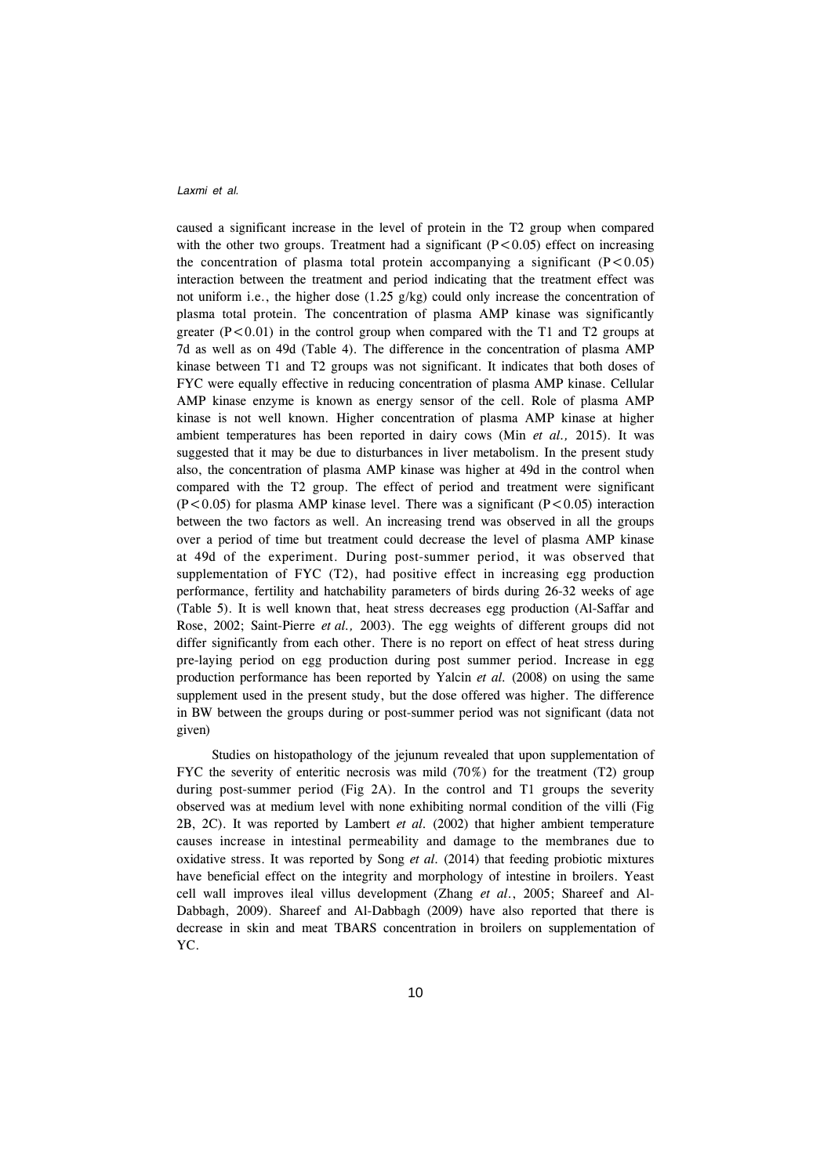caused a significant increase in the level of protein in the T2 group when compared with the other two groups. Treatment had a significant  $(P<0.05)$  effect on increasing the concentration of plasma total protein accompanying a significant  $(P<0.05)$ interaction between the treatment and period indicating that the treatment effect was not uniform i.e., the higher dose  $(1.25 \text{ g/kg})$  could only increase the concentration of plasma total protein. The concentration of plasma AMP kinase was significantly greater  $(P<0.01)$  in the control group when compared with the T1 and T2 groups at 7d as well as on 49d (Table 4). The difference in the concentration of plasma AMP kinase between T1 and T2 groups was not significant. It indicates that both doses of FYC were equally effective in reducing concentration of plasma AMP kinase. Cellular AMP kinase enzyme is known as energy sensor of the cell. Role of plasma AMP kinase is not well known. Higher concentration of plasma AMP kinase at higher ambient temperatures has been reported in dairy cows (Min *et al.,* 2015). It was suggested that it may be due to disturbances in liver metabolism. In the present study also, the concentration of plasma AMP kinase was higher at 49d in the control when compared with the T2 group. The effect of period and treatment were significant  $(P<0.05)$  for plasma AMP kinase level. There was a significant  $(P<0.05)$  interaction between the two factors as well. An increasing trend was observed in all the groups over a period of time but treatment could decrease the level of plasma AMP kinase at 49d of the experiment. During post-summer period, it was observed that supplementation of FYC (T2), had positive effect in increasing egg production performance, fertility and hatchability parameters of birds during 26-32 weeks of age (Table 5). It is well known that, heat stress decreases egg production (Al-Saffar and Rose, 2002; Saint-Pierre *et al.,* 2003). The egg weights of different groups did not differ significantly from each other. There is no report on effect of heat stress during pre-laying period on egg production during post summer period. Increase in egg production performance has been reported by Yalcin *et al.* (2008) on using the same supplement used in the present study, but the dose offered was higher. The difference in BW between the groups during or post-summer period was not significant (data not given)

Studies on histopathology of the jejunum revealed that upon supplementation of FYC the severity of enteritic necrosis was mild (70%) for the treatment (T2) group during post-summer period (Fig 2A). In the control and T1 groups the severity observed was at medium level with none exhibiting normal condition of the villi (Fig 2B, 2C). It was reported by Lambert *et al.* (2002) that higher ambient temperature causes increase in intestinal permeability and damage to the membranes due to oxidative stress. It was reported by Song *et al.* (2014) that feeding probiotic mixtures have beneficial effect on the integrity and morphology of intestine in broilers. Yeast cell wall improves ileal villus development (Zhang *et al*., 2005; Shareef and Al-Dabbagh, 2009). Shareef and Al-Dabbagh (2009) have also reported that there is decrease in skin and meat TBARS concentration in broilers on supplementation of YC.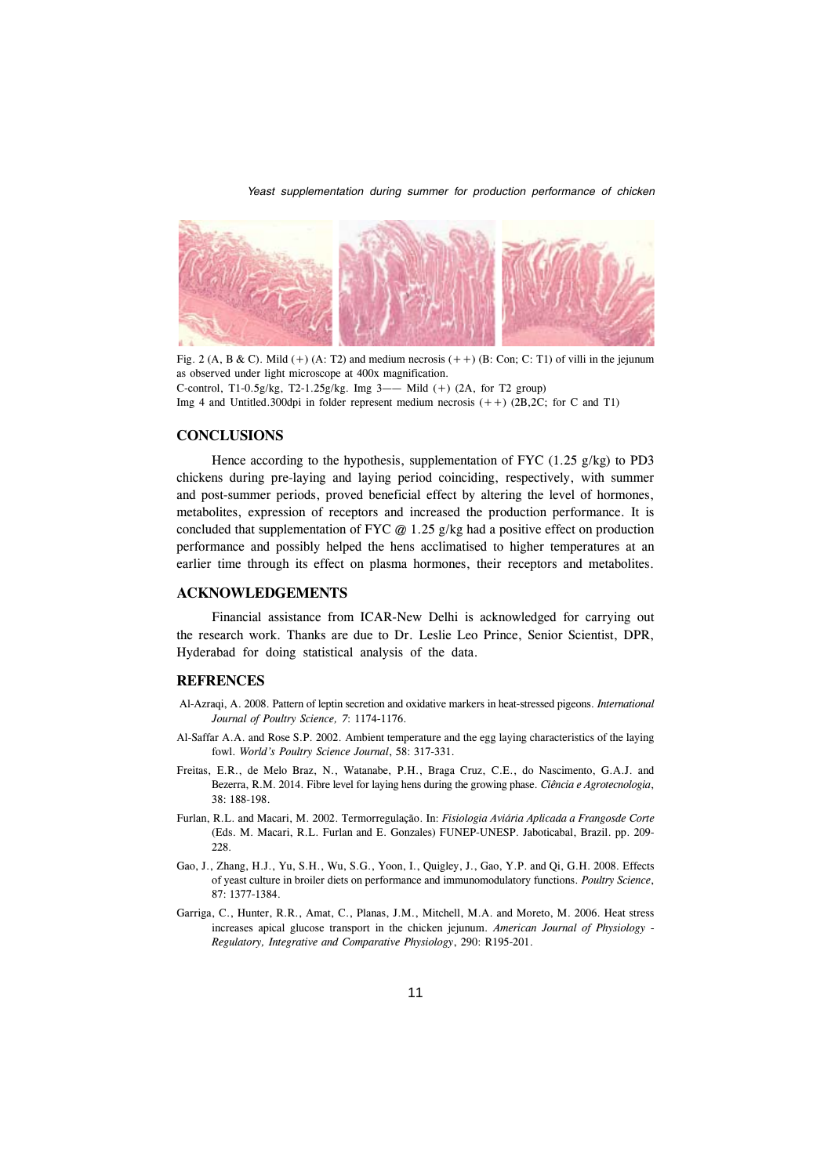Yeast supplementation during summer for production performance of chicken



Fig. 2 (A, B & C). Mild (+) (A: T2) and medium necrosis  $(++)$  (B: Con; C: T1) of villi in the jejunum as observed under light microscope at 400x magnification. C-control, T1-0.5g/kg, T2-1.25g/kg. Img 3—— Mild (+) (2A, for T2 group) Img 4 and Untitled.300dpi in folder represent medium necrosis  $(++)$  (2B,2C; for C and T1)

## **CONCLUSIONS**

Hence according to the hypothesis, supplementation of FYC  $(1.25 \text{ g/kg})$  to PD3 chickens during pre-laying and laying period coinciding, respectively, with summer and post-summer periods, proved beneficial effect by altering the level of hormones, metabolites, expression of receptors and increased the production performance. It is concluded that supplementation of FYC  $@$  1.25 g/kg had a positive effect on production performance and possibly helped the hens acclimatised to higher temperatures at an earlier time through its effect on plasma hormones, their receptors and metabolites.

### **ACKNOWLEDGEMENTS**

Financial assistance from ICAR-New Delhi is acknowledged for carrying out the research work. Thanks are due to Dr. Leslie Leo Prince, Senior Scientist, DPR, Hyderabad for doing statistical analysis of the data.

#### **REFRENCES**

- Al-Azraqi, A. 2008. Pattern of leptin secretion and oxidative markers in heat-stressed pigeons. *International Journal of Poultry Science, 7*: 1174-1176.
- Al-Saffar A.A. and Rose S.P. 2002. Ambient temperature and the egg laying characteristics of the laying fowl. *World's Poultry Science Journal*, 58: 317-331.
- Freitas, E.R., de Melo Braz, N., Watanabe, P.H., Braga Cruz, C.E., do Nascimento, G.A.J. and Bezerra, R.M. 2014. Fibre level for laying hens during the growing phase. *Ciência e Agrotecnologia*, 38: 188-198.
- Furlan, R.L. and Macari, M. 2002. Termorregulação. In: *Fisiologia Aviária Aplicada a Frangosde Corte* (Eds. M. Macari, R.L. Furlan and E. Gonzales) FUNEP-UNESP. Jaboticabal, Brazil. pp. 209- 228.
- Gao, J., Zhang, H.J., Yu, S.H., Wu, S.G., Yoon, I., Quigley, J., Gao, Y.P. and Qi, G.H. 2008. Effects of yeast culture in broiler diets on performance and immunomodulatory functions. *Poultry Science*, 87: 1377-1384.
- Garriga, C., Hunter, R.R., Amat, C., Planas, J.M., Mitchell, M.A. and Moreto, M. 2006. Heat stress increases apical glucose transport in the chicken jejunum. *American Journal of Physiology - Regulatory, Integrative and Comparative Physiology*, 290: R195-201.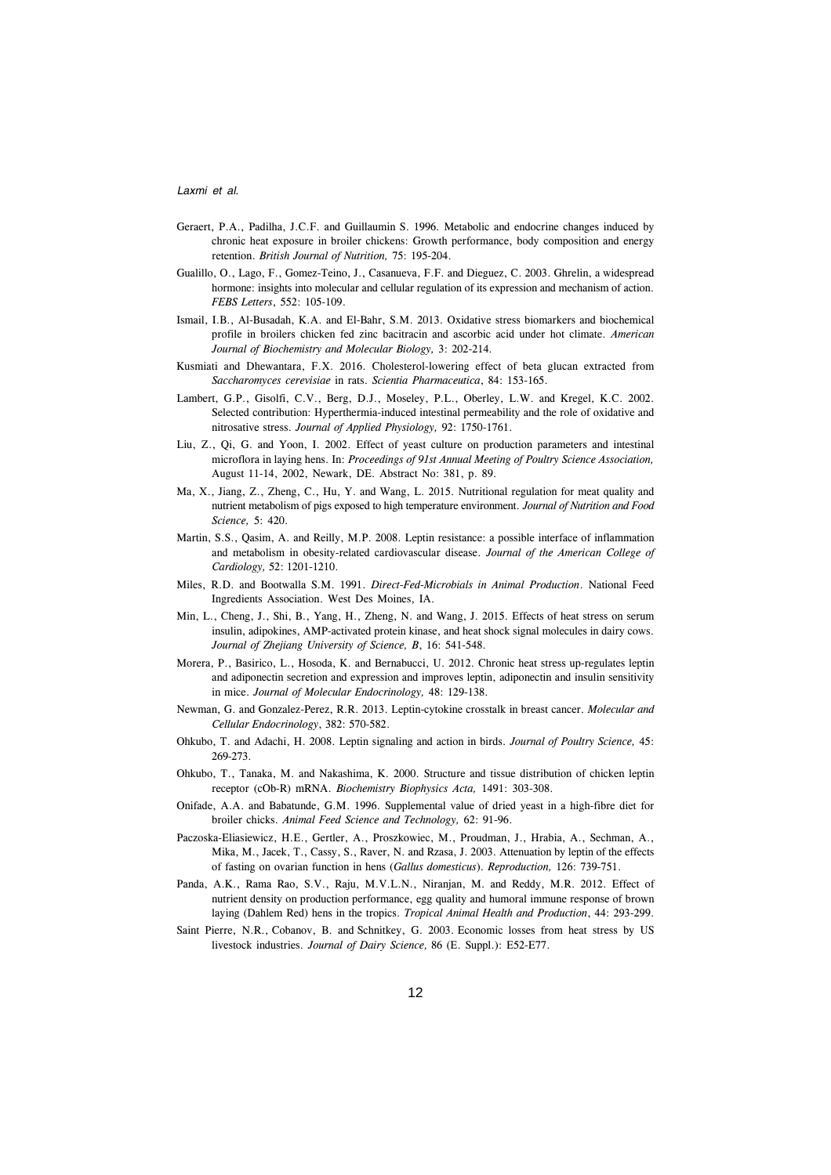- Geraert, P.A., Padilha, J.C.F. and Guillaumin S. 1996*.* Metabolic and endocrine changes induced by chronic heat exposure in broiler chickens: Growth performance, body composition and energy retention. *British Journal of Nutrition,* 75: 195-204.
- Gualillo, O., Lago, F., Gomez-Teino, J., Casanueva, F.F. and Dieguez, C. 2003. Ghrelin, a widespread hormone: insights into molecular and cellular regulation of its expression and mechanism of action. *FEBS Letters*, 552: 105-109.
- Ismail, I.B., Al-Busadah, K.A. and El-Bahr, S.M. 2013. Oxidative stress biomarkers and biochemical profile in broilers chicken fed zinc bacitracin and ascorbic acid under hot climate. *American Journal of Biochemistry and Molecular Biology,* 3: 202-214*.*
- Kusmiati and Dhewantara, F.X. 2016. Cholesterol-lowering effect of beta glucan extracted from *Saccharomyces cerevisiae* in rats. *Scientia Pharmaceutica*, 84: 153-165.
- Lambert, G.P., Gisolfi, C.V., Berg, D.J., Moseley, P.L., Oberley, L.W. and Kregel, K.C. 2002. Selected contribution: Hyperthermia-induced intestinal permeability and the role of oxidative and nitrosative stress. *Journal of Applied Physiology,* 92: 1750-1761.
- Liu, Z., Qi, G. and Yoon, I. 2002. Effect of yeast culture on production parameters and intestinal microflora in laying hens. In: *Proceedings of 91st Annual Meeting of Poultry Science Association,* August 11-14, 2002, Newark, DE. Abstract No: 381, p. 89.
- Ma, X., Jiang, Z., Zheng, C., Hu, Y. and Wang, L. 2015. Nutritional regulation for meat quality and nutrient metabolism of pigs exposed to high temperature environment. *Journal of Nutrition and Food Science,* 5: 420.
- Martin, S.S., Qasim, A. and Reilly, M.P. 2008. Leptin resistance: a possible interface of inflammation and metabolism in obesity-related cardiovascular disease. *Journal of the American College of Cardiology,* 52: 1201-1210.
- Miles, R.D. and Bootwalla S.M. 1991. *Direct-Fed-Microbials in Animal Production*. National Feed Ingredients Association. West Des Moines, IA.
- Min, L., Cheng, J., Shi, B., Yang, H., Zheng, N. and Wang, J. 2015. Effects of heat stress on serum insulin, adipokines, AMP-activated protein kinase, and heat shock signal molecules in dairy cows. *Journal of Zhejiang University of Science, B*, 16: 541-548.
- Morera, P., Basirico, L., Hosoda, K. and Bernabucci, U. 2012. Chronic heat stress up-regulates leptin and adiponectin secretion and expression and improves leptin, adiponectin and insulin sensitivity in mice. *Journal of Molecular Endocrinology,* 48: 129-138.
- Newman, G. and Gonzalez-Perez, R.R. 2013. Leptin-cytokine crosstalk in breast cancer. *Molecular and Cellular Endocrinology*, 382: 570-582.
- Ohkubo, T. and Adachi, H. 2008. Leptin signaling and action in birds. *Journal of Poultry Science,* 45: 269-273.
- Ohkubo, T., Tanaka, M. and Nakashima, K. 2000. Structure and tissue distribution of chicken leptin receptor (cOb-R) mRNA. *Biochemistry Biophysics Acta,* 1491: 303-308.
- Onifade, A.A. and Babatunde, G.M. 1996. Supplemental value of dried yeast in a high-fibre diet for broiler chicks. *Animal Feed Science and Technology,* 62: 91-96.
- Paczoska-Eliasiewicz, H.E., Gertler, A., Proszkowiec, M., Proudman, J., Hrabia, A., Sechman, A., Mika, M., Jacek, T., Cassy, S., Raver, N. and Rzasa, J. 2003. Attenuation by leptin of the effects of fasting on ovarian function in hens (*Gallus domesticus*). *Reproduction,* 126: 739-751.
- Panda, A.K., Rama Rao, S.V., Raju, M.V.L.N., Niranjan, M. and Reddy, M.R. 2012. Effect of nutrient density on production performance, egg quality and humoral immune response of brown laying (Dahlem Red) hens in the tropics. *Tropical Animal Health and Production*, 44: 293-299.
- Saint Pierre, N.R., Cobanov, B. and Schnitkey, G. 2003. Economic losses from heat stress by US livestock industries. *Journal of Dairy Science,* 86 (E. Suppl.): E52-E77.